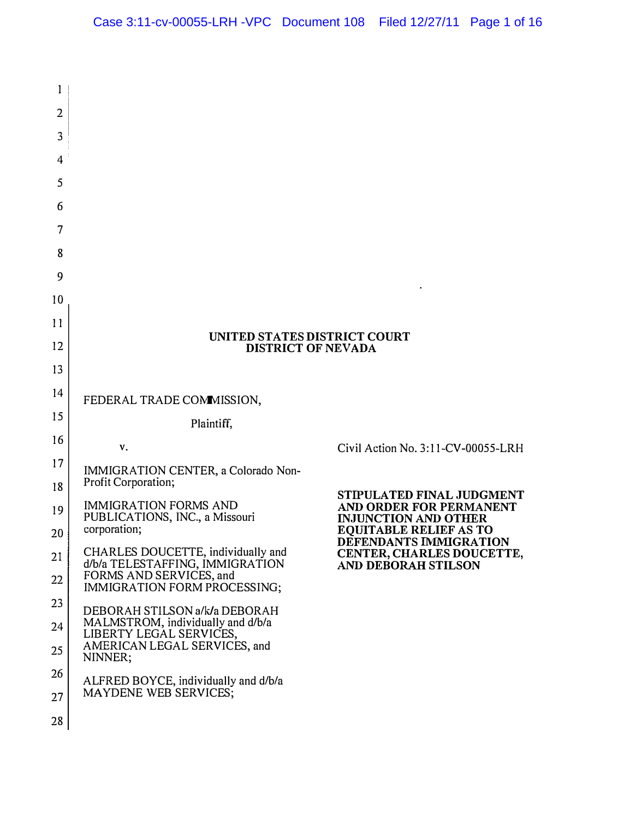| 1        |                                                                    |                                                              |
|----------|--------------------------------------------------------------------|--------------------------------------------------------------|
| 2        |                                                                    |                                                              |
| 3        |                                                                    |                                                              |
| 4        |                                                                    |                                                              |
| 5        |                                                                    |                                                              |
| 6        |                                                                    |                                                              |
| 7        |                                                                    |                                                              |
| 8        |                                                                    |                                                              |
| 9        |                                                                    |                                                              |
| 10       |                                                                    |                                                              |
| 11       | <b>UNITED STATES DISTRICT COURT</b>                                |                                                              |
| 12       | <b>DISTRICT OF NEVADA</b>                                          |                                                              |
| 13       |                                                                    |                                                              |
| 14       | FEDERAL TRADE COMMISSION,                                          |                                                              |
| 15       | Plaintiff,                                                         |                                                              |
| 16       | v.                                                                 | Civil Action No. 3:11-CV-00055-LRH                           |
| 17       | IMMIGRATION CENTER, a Colorado Non-<br>Profit Corporation;         |                                                              |
| 18       | <b>IMMIGRATION FORMS AND</b>                                       | STIPULATED FINAL JUDGMENT<br>AND ORDER FOR PERMANENT         |
| 19       | PUBLICATIONS, INC., a Missouri<br>corporation;                     | <b>INJUNCTION AND OTHER</b><br><b>EQUITABLE RELIEF AS TO</b> |
| 20<br>21 | CHARLES DOUCETTE, individually and                                 | DEFENDANTS IMMIGRATION<br>CENTER, CHARLES DOUCETTE,          |
| 22       | d/b/a TELESTAFFING, IMMIGRATION<br>FORMS AND SERVICES, and         | AND DEBORAH STILSON                                          |
| 23       | IMMIGRATION FORM PROCESSING;                                       |                                                              |
| 24       | DEBORAH STILSON a/k/a DEBORAH<br>MALMSTROM, individually and d/b/a |                                                              |
| 25       | LIBERTY LEGAL SERVICES,<br>AMERICAN LEGAL SERVICES, and<br>NINNER; |                                                              |
| 26       | ALFRED BOYCE, individually and d/b/a                               |                                                              |
| 27       | MAYDENE WEB SERVICES;                                              |                                                              |
| 28       |                                                                    |                                                              |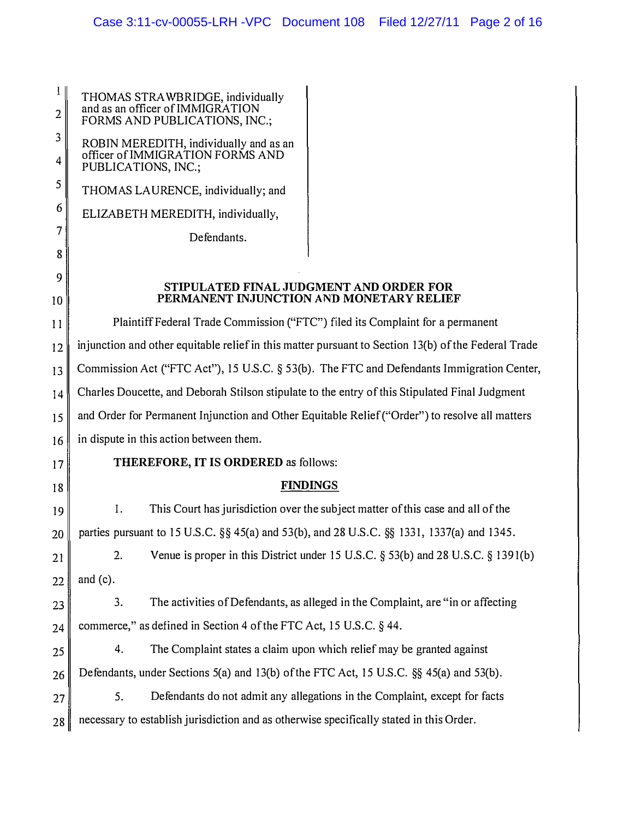| THOMAS STRAWBRIDGE, individually<br>and as an officer of IMMIGRATION<br>FORMS AND PUBLICATIONS, INC.; |
|-------------------------------------------------------------------------------------------------------|
| ROBIN MEREDITH, individually and as an<br>officer of IMMIGRATION FORMS AND<br>PUBLICATIONS, INC.;     |
| THOMAS LAURENCE, individually; and                                                                    |
| ELIZABETH MEREDITH, individually,                                                                     |
| Defendants.                                                                                           |
|                                                                                                       |
| STIPULATED FINAL JUD<br>PERMANENT INJUNCTION                                                          |
| Plaintiff Federal Trade Commission ("F7                                                               |
| iniunction and other equitable relief in this matte                                                   |

**GMENT AND ORDER FOR N AND MONETARY RELIEF** 

 $FC"$ ) filed its Complaint for a permanent er pursuant to Section 13(b) of the Federal Trade Commission Act ("FTC Act"), 15 U.S.c. § 53(b). The FTC and Defendants Immigration Center, Charles Doucette, and Deborah Stilson stipulate to the entry of this Stipulated Final Judgment and Order for Permanent Injunction and Other Equitable Relief ("Order") to resolve all matters in dispute in this action between them. THEREFORE, IT IS ORDERED as follows:

# FINDINGS

I. This Court has jurisdiction over the subject matter ofthis case and all of the  $20$  parties pursuant to 15 U.S.C. §§ 45(a) and 53(b), and 28 U.S.C. §§ 1331, 1337(a) and 1345.

 $21$  2.  $22$  and (c). Venue is proper in this District under 15 U.S.C. § 53(b) and 28 U.S.C. § 1391(b)

3. The activities of Defendants, as alleged in the Complaint, are "in or affecting  $24$  commerce," as defined in Section 4 of the FTC Act, 15 U.S.C. § 44.

 $25$  4. The Complaint states a claim upon which relief may be granted against  $26$  Defendants, under Sections 5(a) and 13(b) of the FTC Act, 15 U.S.C. §§ 45(a) and 53(b).

27 S. Defendants do not admit any allegations in the Complaint, except for facts 28 necessary to establish jurisdiction and as otherwise specifically stated in this Order.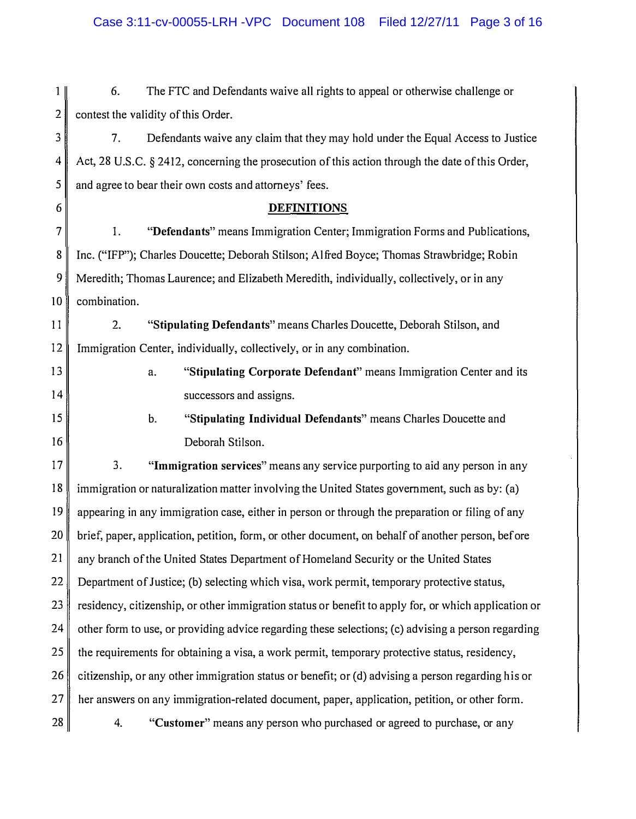$1<sub>1</sub>$ 6. The FTC and Defendants waive all rights to appeal or otherwise challenge or 2 contest the validity of this Order.

3 7. Defendants waive any claim that they may hold under the Equal Access to Justice 4 Act, 28 U.S.c. § 2412, concerning the prosecution of this action through the date ofthis Order,  $5 \parallel$  and agree to bear their own costs and attorneys' fees.

### 6 DEFINITIONS

7 l. "Defendants" means Immigration Center; Immigration Forms and Publications, 8 Inc. ("IFP"); Charles Doucette; Deborah Stilson; Alfred Boyce; Thomas Strawbridge; Robin 9 Meredith; Thomas Laurence; and Elizabeth Meredith, individually, collectively, or in any 10 combination.

11 2. "Stipulating Defendants" means Charles Doucette, Deborah Stilson, and 12 Immigration Center, individually, collectively, or in any combination.

13

14

IS

16

a. "Stipulating Corporate Defendant" means Immigration Center and its successors and assigns.

b. "Stipulating Individual Defendants" means Charles Doucette and Deborah Stilson.

17 3. "Immigration services" means any service purporting to aid any person in any 18 immigration or naturalization matter involving the United States government, such as by: (a) 19 appearing in any immigration case, either in person or through the preparation or filing of any 20 brief, paper, application, petition, form, or other document, on behalf of another person, before 21 any branch of the United States Department of Homeland Security or the United States 22 Department of Justice; (b) selecting which visa, work permit, temporary protective status,  $23$  residency, citizenship, or other immigration status or benefit to apply for, or which application or  $24$  other form to use, or providing advice regarding these selections; (c) advising a person regarding  $25$  the requirements for obtaining a visa, a work permit, temporary protective status, residency, 26 citizenship, or any other immigration status or benefit; or (d) advising a person regarding his or 27 her answers on any immigration-related document, paper, application, petition, or other form. 28 28 4. **"Customer"** means any person who purchased or agreed to purchase, or any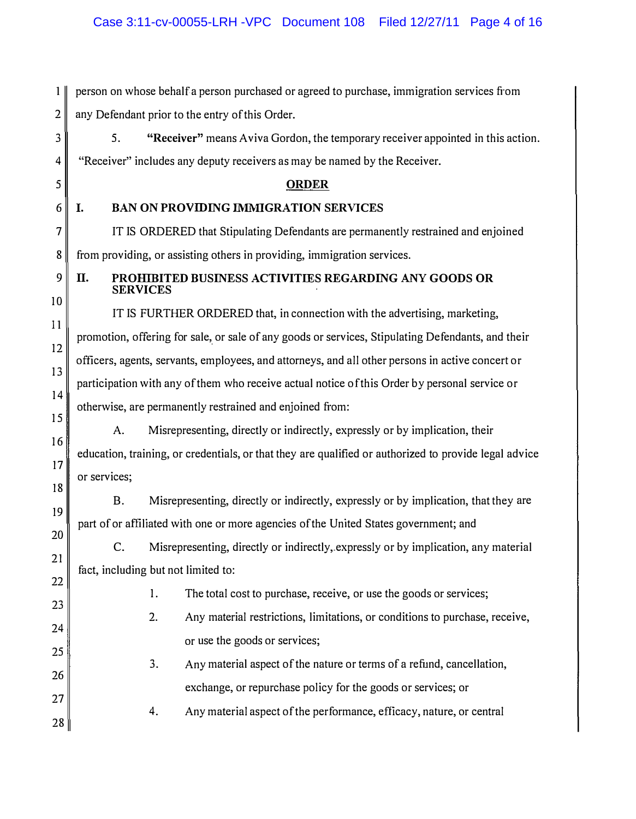I person on whose behalf a person purchased or agreed to purchase, immigration services from  $2 \parallel$  any Defendant prior to the entry of this Order. 3 5. **"Receiver"** means Aviva Gordon, the temporary receiver appointed in this action.  $4 \parallel$  "Receiver" includes any deputy receivers as may be named by the Receiver. 5 ORDER 6 I. BAN ON PROVIDING IMMIGRATION SERVICES 7 IT IS ORDERED that Stipulating Defendants are permanently restrained and enjoined 8 from providing, or assisting others in providing, immigration services.  $9$  II. 10 PROHIBITED BUSINESS ACTIVITIES REGARDING ANY GOODS OR **SERVICES** II 12 13 14 15 16 17 18 19 20 21 22 23 24 25 26 27 28 IT IS FURTHER ORDERED that, in connection with the advertising, marketing, promotion, offering for sale, or sale of any goods or services, Stipulating Defendants, and their officers, agents, servants, employees, and attorneys, and all other persons in active concert or participation with any ofthem who receive actual notice of this Order by personal service or otherwise, are permanently restrained and enjoined from: A. Misrepresenting, directly or indirectly, expressly or by implication, their education, training, or credentials, or that they are qualified or authorized to provide legal advice or services; B. Misrepresenting, directly or indirectly, expressly or by implication, that they are part of or affiliated with one or more agencies ofthe United States government; and C. Misrepresenting, directly or indirectly,.expressly or by implication, any material fact, including but not limited to: 1. The total cost to purchase, receive, or use the goods or services; 2. Any material restrictions, limitations, or conditions to purchase, receive, or use the goods or services; 3. Any material aspect of the nature or terms of a refund, cancellation, exchange, or repurchase policy for the goods or services; or 4. Any material aspect of the performance, efficacy, nature, or central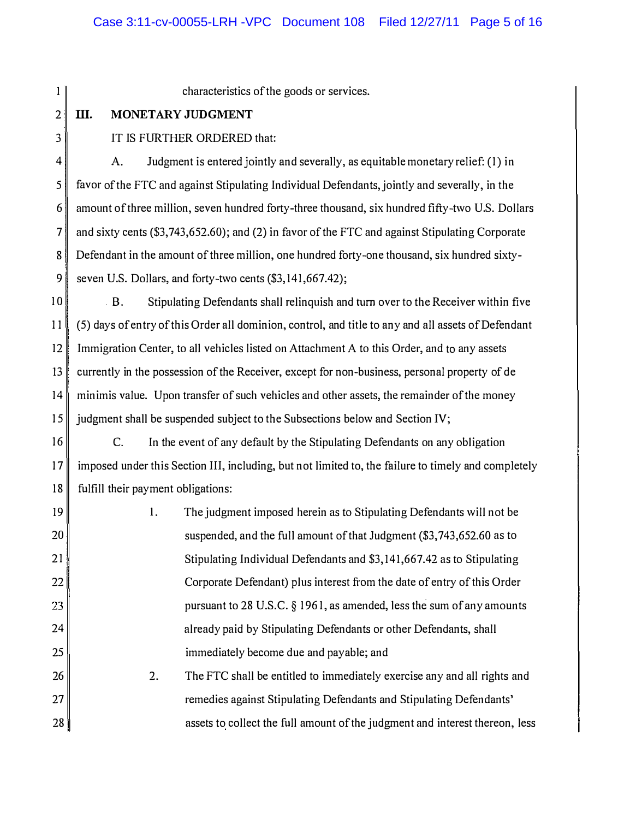1 || 2 III. MONETARY JUDGMENT 3 **IT IS FURTHER ORDERED that:**  $\|4\|$  A. Judgment is entered jointly and severally, as equitable monetary relief: (1) in  $5$  favor of the FTC and against Stipulating Individual Defendants, jointly and severally, in the 6 amount of three million, seven hundred forty-three thousand, six hundred fifty-two U.S. Dollars 7 and sixty cents (\$3,743,652.60); and (2) in favor of the FTC and against Stipulating Corporate 8 Defendant in the amount of three million, one hundred forty-one thousand, six hundred sixty-9 seven U.S. Dollars, and forty-two cents  $(\$3,141,667.42);$ 10 B. Stipulating Defendants shall relinquish and turn over to the Receiver within five 11 (5) days of entry of this Order all dominion, control, and title to any and all assets of Defendant 12 Immigration Center, to all vehicles listed on Attachment A to this Order, and to any assets 13 currently in the possession of the Receiver, except for non-business, personal property of de  $14 \parallel$  minimis value. Upon transfer of such vehicles and other assets, the remainder of the money 15 judgment shall be suspended subject to the Subsections below and Section IV;  $16$  C. In the event of any default by the Stipulating Defendants on any obligation 17 imposed under this Section III, including, but not limited to, the failure to timely and completely 18 fulfill their payment obligations: 19 The judgment imposed herein as to Stipulating Defendants will not be L 20 suspended, and the full amount of that Judgment (\$3,743,652.60 as to 21 Stipulating Individual Defendants and \$3,141,667.42 as to Stipulating 22 Corporate Defendant) plus interest from the date of entry of this Order 23 pursuant to 28 U.S.C.  $\S 1961$ , as amended, less the sum of any amounts 24 already paid by Stipulating Defendants or other Defendants, shall 25 immediately become due and payable; and The FTC shall be entitled to immediately exercise any and all rights and 26 2. 27 remedies against Stipulating Defendants and Stipulating Defendants' 28 assets to collect the full amount of the judgment and interest thereon, less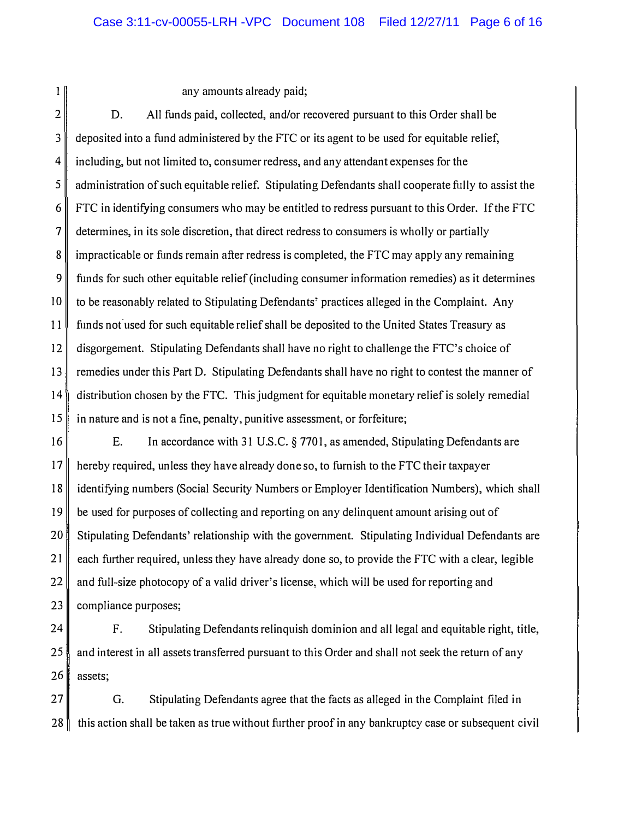$1$ 

any amounts already paid;

2 3 4 5 6 7 8 9 10 11 12 13 14 15 D. All funds paid, collected, and/or recovered pursuant to this Order shall be deposited into a fund administered by the FTC or its agent to be used for equitable relief, including, but not limited to, consumer redress, and any attendant expenses for the administration of such equitable relief. Stipulating Defendants shall cooperate fully to assist the FTC in identifying consumers who may be entitled to redress pursuant to this Order. If the FTC determines, in its sole discretion, that direct redress to consumers is wholly or partially impracticable or funds remain after redress is completed, the FTC may apply any remaining funds for such other equitable relief (including consumer information remedies) as it determines to be reasonably related to Stipulating Defendants' practices alleged in the Complaint. Any funds not used for such equitable relief shall be deposited to the United States Treasury as disgorgement. Stipulating Defendants shall have no right to challenge the FTC's choice of remedies under this Part D. Stipulating Defendants shall have no right to contest the manner of distribution chosen by the FTC. This judgment for equitable monetary relief is solely remedial in nature and is not a fine, penalty, punitive assessment, or forfeiture;

16 17 18 19 20 21 22 23 E. In accordance with 31 U.S.C. § 7701, as amended, Stipulating Defendants are hereby required, unless they have already done so, to furnish to the FTC their taxpayer identifying numbers (Social Security Numbers or Employer Identification Numbers), which shall be used for purposes of collecting and reporting on any delinquent amount arising out of Stipulating Defendants' relationship with the government. Stipulating Individual Defendants are each further required, unless they have already done so, to provide the FTC with a clear, legible and full-size photocopy of a valid driver's license, which will be used for reporting and compliance purposes;

24 25 26 F. Stipulating Defendants relinquish dominion and all legal and equitable right, title, and interest in all assets transferred pursuant to this Order and shall not seek the return of any assets;

27 G. Stipulating Defendants agree that the facts as alleged in the Complaint filed in 28 this action shall be taken as true without further proof in any bankruptcy case or subsequent civil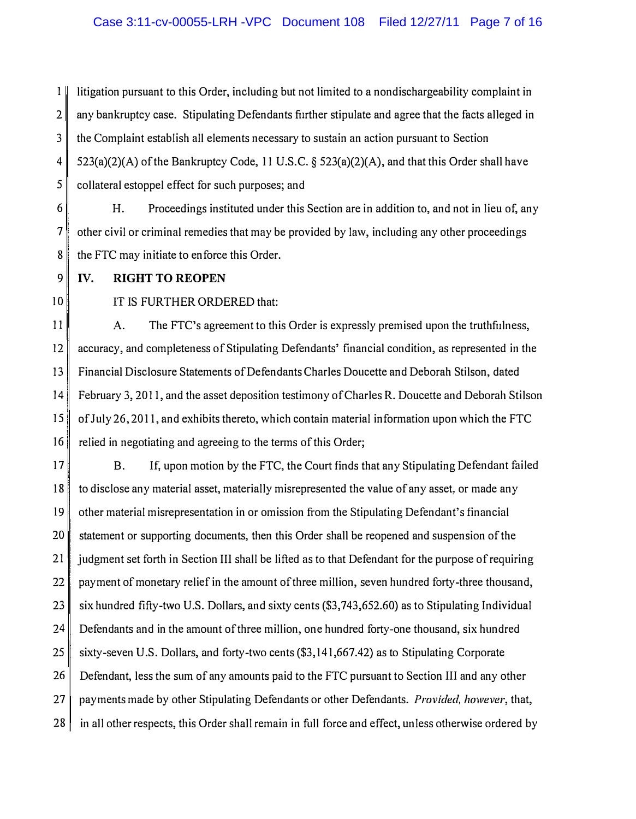1 litigation pursuant to this Order, including but not limited to a nondischargeability complaint in  $2 \parallel$  any bankruptcy case. Stipulating Defendants further stipulate and agree that the facts alleged in 3 the Complaint establish all elements necessary to sustain an action pursuant to Section  $4 \parallel 523(a)(2)(A)$  of the Bankruptcy Code, 11 U.S.C. § 523(a)(2)(A), and that this Order shall have 5 collateral estoppel effect for such purposes; and

 $6 \parallel$  H. Proceedings instituted under this Section are in addition to, and not in lieu of, any  $7 \parallel$  other civil or criminal remedies that may be provided by law, including any other proceedings 8 the FTC may initiate to enforce this Order.

### 9 IV. RIGHT TO REOPEN

10 IT IS FURTHER ORDERED that:

11 A. The FTC's agreement to this Order is expressly premised upon the truthfulness, 12 accuracy, and completeness of Stipulating Defendants' financial condition, as represented in the 13 Financial Disclosure Statements of Defendants Charles Doucette and Deborah Stilson, dated 14 February 3, 2011, and the asset deposition testimony of Charles R. Doucette and Deborah Stilson 15 of July 26, 2011, and exhibits thereto, which contain material information upon which the FTC 16 relied in negotiating and agreeing to the terms of this Order;

17 B. If, upon motion by the FTC, the Court finds that any Stipulating Defendant failed 18 to disclose any material asset, materially misrepresented the value of any asset, or made any 19 other material misrepresentation in or omission from the Stipulating Defendant's financial 20 statement or supporting documents, then this Order shall be reopened and suspension of the 21 judgment set forth in Section III shall be lifted as to that Defendant for the purpose of requiring  $22$  payment of monetary relief in the amount of three million, seven hundred forty-three thousand, 23 six hundred fifty-two U.S. Dollars, and sixty cents (\$3,743,652.60) as to Stipulating Individual  $24$  Defendants and in the amount of three million, one hundred forty-one thousand, six hundred 25 sixty-seven U.S. Dollars, and forty-two cents  $(\$3,141,667.42)$  as to Stipulating Corporate 26 Defendant, less the sum of any amounts paid to the FTC pursuant to Section III and any other 27 payments made by other Stipulating Defendants or other Defendants. *Provided, however*, that, 28 in all other respects, this Order shall remain in full force and effect, unless otherwise ordered by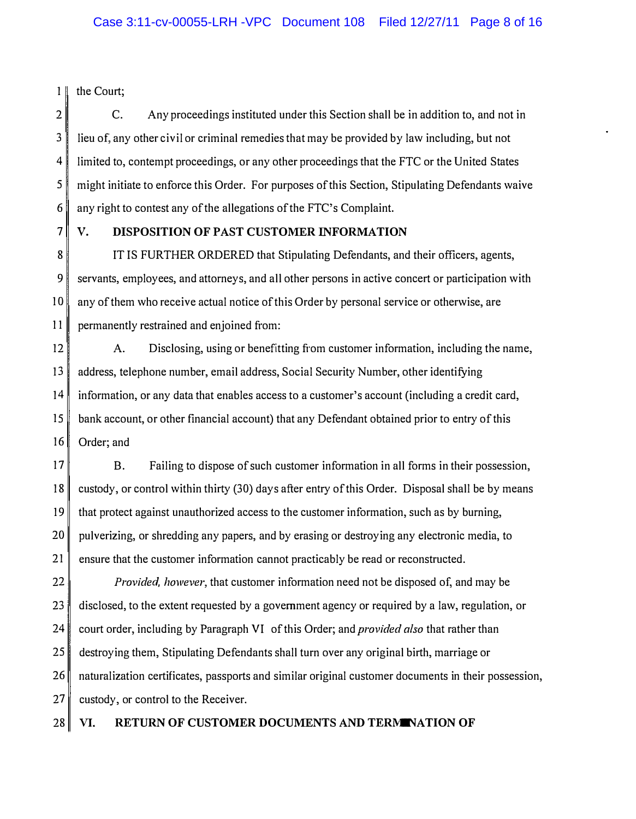1 | the Court;

7

2 3 4 5 6 C. Any proceedings instituted under this Section shall be in addition to, and not in lieu of, any other civil or criminal remedies that may be provided by law including, but not limited to, contempt proceedings, or any other proceedings that the FTC or the United States might initiate to enforce this Order. For purposes of this Section, Stipulating Defendants waive any right to contest any of the allegations of the FTC's Complaint.

# V. DISPOSITION OF PAST CUSTOMER INFORMATION

8 9 10 11 IT IS FURTHER ORDERED that Stipulating Defendants, and their officers, agents, servants, employees, and attorneys, and all other persons in active concert or participation with any of them who receive actual notice of this Order by personal service or otherwise, are permanently restrained and enjoined from:

12 13 14 15 16 A. Disclosing, using or benefitting from customer information, including the name, address, telephone number, email address, Social Security Number, other identifying information, or any data that enables access to a customer's account (including a credit card, bank account, or other financial account) that any Defendant obtained prior to entry of this Order; and

17 18 19 20 21 B. Failing to dispose of such customer information in all forms in their possession, custody, or control within thirty (30) days after entry of this Order. Disposal shall be by means that protect against unauthorized access to the customer information, such as by burning, pulverizing, or shredding any papers, and by erasing or destroying any electronic media, to ensure that the customer information cannot practicably be read or reconstructed.

22 23 24 25 26 27 Provided, however, that customer information need not be disposed of, and may be disclosed, to the extent requested by a government agency or required by a law, regulation, or court order, including by Paragraph VI of this Order; and *provided also* that rather than destroying them, StipUlating Defendants shall turn over any original birth, marriage or naturalization certificates, passports and similar original customer documents in their possession, custody, or control to the Receiver.

28 VI. RETURN OF CUSTOMER DOCUMENTS AND TERMINATION OF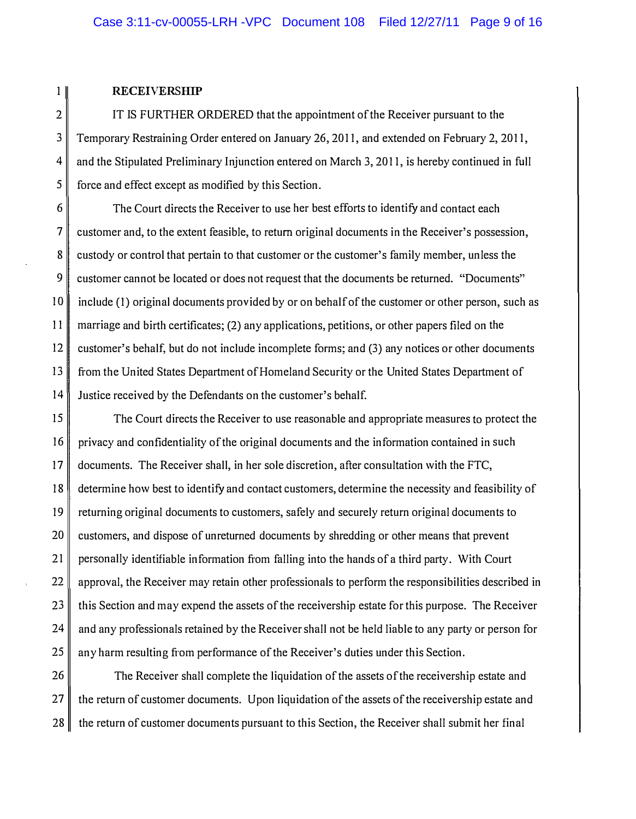#### 1 RECEIVERSHIP

 $2 \parallel$  IT IS FURTHER ORDERED that the appointment of the Receiver pursuant to the 3 Temporary Restraining Order entered on January 26, 2011, and extended on Febmary 2, 2011, 4 and the Stipulated Preliminary Injunction entered on March 3, 2011, is hereby continued in full 5 force and effect except as modified by this Section.

6 The Court directs the Receiver to use her best efforts to identify and contact each 7 customer and, to the extent feasible, to return original documents in the Receiver's possession, 8 custody or control that pertain to that customer or the customer's family member, unless the 9 customer cannot be located or does not request that the documents be returned. "Documents" 10 include (1) original documents provided by or on behalf of the customer or other person, such as 11 marriage and birth certificates; (2) any applications, petitions, or other papers filed on the 12 customer's behalf, but do not include incomplete forms; and (3) any notices or other documents 13 from the United States Department of Homeland Security or the United States Department of 14 Justice received by the Defendants on the customer's behalf.

15 The Court directs the Receiver to use reasonable and appropriate measures to protect the  $16 \parallel$  privacy and confidentiality of the original documents and the information contained in such 17 documents. The Receiver shall, in her sole discretion, after consultation with the FTC, 18 determine how best to identify and contact customers, determine the necessity and feasibility of 19 returning original documents to customers, safely and securely return original documents to 20 customers, and dispose of unreturned documents by shredding or other means that prevent 21 personally identifiable information from falling into the hands of a third party. With Court 22 approval, the Receiver may retain other professionals to perform the responsibilities described in  $23$  this Section and may expend the assets of the receivership estate for this purpose. The Receiver  $24$  and any professionals retained by the Receiver shall not be held liable to any party or person for 25 any harm resulting from performance of the Receiver's duties under this Section.

26 The Receiver shall complete the liquidation of the assets of the receivership estate and  $27$  the return of customer documents. Upon liquidation of the assets of the receivership estate and  $28$  the return of customer documents pursuant to this Section, the Receiver shall submit her final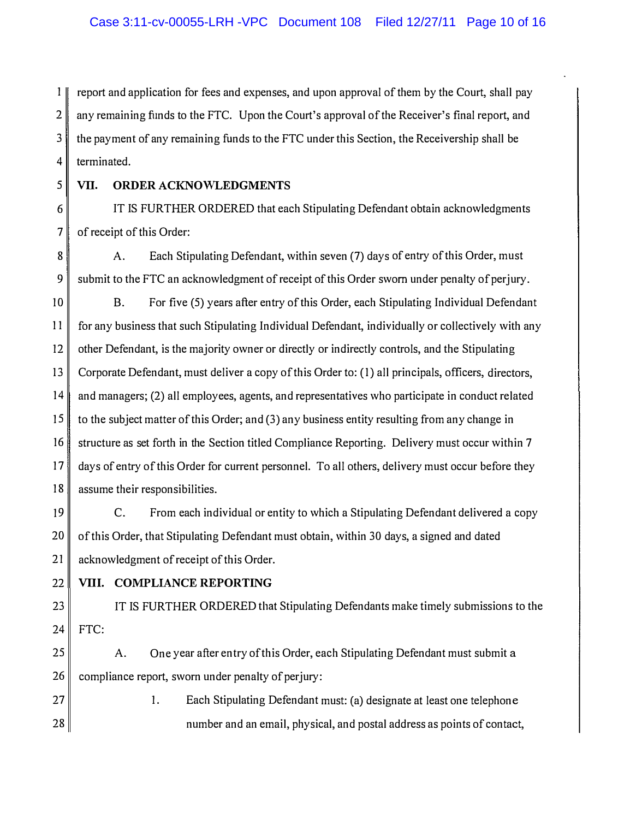1 report and application for fees and expenses, and upon approval of them by the Court, shall pay 2 any remaining funds to the FTC. Upon the Court's approval of the Receiver's final report, and 3 the payment of any remaining funds to the FTC under this Section, the Receivership shall be  $4$  terminated.

### 5 VII. ORDER ACKNOWLEDGMENTS

6 **IT IS FURTHER ORDERED** that each Stipulating Defendant obtain acknowledgments  $7 \parallel$  of receipt of this Order:

8 **A.** Each Stipulating Defendant, within seven (7) days of entry of this Order, must  $9 \parallel$  submit to the FTC an acknowledgment of receipt of this Order sworn under penalty of perjury.

10 B. For five (5) years after entry of this Order, each Stipulating Individual Defendant 11 for any business that such Stipulating Individual Defendant, individually or collectively with any 12 other Defendant, is the majority owner or directly or indirectly controls, and the Stipulating 13 Corporate Defendant, must deliver a copy of this Order to: (1) all principals, officers, directors, 14 and managers; (2) all employees, agents, and representatives who participate in conduct related 15 to the subject matter of this Order; and (3) any business entity resulting from any change in 16 structure as set forth in the Section titled Compliance Reporting. Delivery must occur within 7 17 days of entry of this Order for current personnel. To all others, delivery must occur before they 18 assume their responsibilities.

 $19$  C. From each individual or entity to which a Stipulating Defendant delivered a copy 20 of this Order, that Stipulating Defendant must obtain, within 30 days, a signed and dated 21 acknowledgment of receipt of this Order.

# 22 VIII. COMPLIANCE REPORTING

23 || IT IS FURTHER ORDERED that Stipulating Defendants make timely submissions to the 24 FTC:

25 A. One year after entry of this Order, each Stipulating Defendant must submit a  $26$  compliance report, sworn under penalty of perjury:

27 || 27 || Each Stipulating Defendant must: (a) designate at least one telephone 28  $\parallel$  28 number and an email, physical, and postal address as points of contact,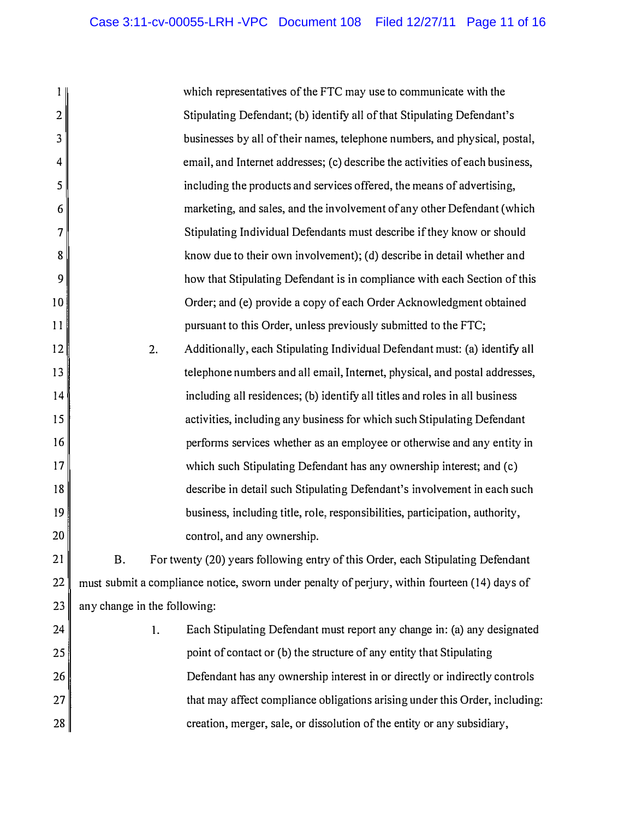| 1              |                                                                                               | which representatives of the FTC may use to communicate with the                |
|----------------|-----------------------------------------------------------------------------------------------|---------------------------------------------------------------------------------|
| $\overline{2}$ |                                                                                               | Stipulating Defendant; (b) identify all of that Stipulating Defendant's         |
| 3              |                                                                                               | businesses by all of their names, telephone numbers, and physical, postal,      |
| 4              |                                                                                               | email, and Internet addresses; (c) describe the activities of each business,    |
| 5              |                                                                                               | including the products and services offered, the means of advertising,          |
| 6              |                                                                                               | marketing, and sales, and the involvement of any other Defendant (which         |
| 7              |                                                                                               | Stipulating Individual Defendants must describe if they know or should          |
| 8              |                                                                                               | know due to their own involvement); (d) describe in detail whether and          |
| 9              |                                                                                               | how that Stipulating Defendant is in compliance with each Section of this       |
| 10             |                                                                                               | Order; and (e) provide a copy of each Order Acknowledgment obtained             |
| 11             |                                                                                               | pursuant to this Order, unless previously submitted to the FTC;                 |
| 12             | 2.                                                                                            | Additionally, each Stipulating Individual Defendant must: (a) identify all      |
| 13             |                                                                                               | telephone numbers and all email, Internet, physical, and postal addresses,      |
| 14             |                                                                                               | including all residences; (b) identify all titles and roles in all business     |
| 15             |                                                                                               | activities, including any business for which such Stipulating Defendant         |
| 16             |                                                                                               | performs services whether as an employee or otherwise and any entity in         |
| 17             |                                                                                               | which such Stipulating Defendant has any ownership interest; and (c)            |
| 18             |                                                                                               | describe in detail such Stipulating Defendant's involvement in each such        |
| 19             |                                                                                               | business, including title, role, responsibilities, participation, authority,    |
| 20             |                                                                                               | control, and any ownership.                                                     |
| 21             | B.                                                                                            | For twenty (20) years following entry of this Order, each Stipulating Defendant |
| 22             | must submit a compliance notice, sworn under penalty of perjury, within fourteen (14) days of |                                                                                 |
| 23             | any change in the following:                                                                  |                                                                                 |
| 24             | 1.                                                                                            | Each Stipulating Defendant must report any change in: (a) any designated        |
| 25             |                                                                                               | point of contact or (b) the structure of any entity that Stipulating            |
| 26             |                                                                                               | Defendant has any ownership interest in or directly or indirectly controls      |
| 27             |                                                                                               | that may affect compliance obligations arising under this Order, including:     |
| 28             |                                                                                               | creation, merger, sale, or dissolution of the entity or any subsidiary,         |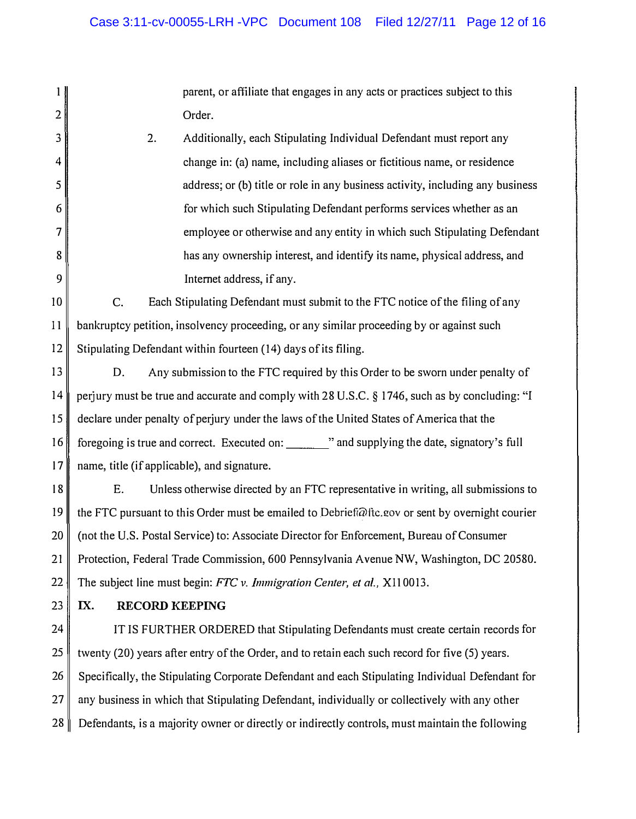|    | parent, or affiliate that engages in any acts or practices subject to this                      |
|----|-------------------------------------------------------------------------------------------------|
| 2  | Order.                                                                                          |
| 3  | 2.<br>Additionally, each Stipulating Individual Defendant must report any                       |
| 4  | change in: (a) name, including aliases or fictitious name, or residence                         |
| 5  | address; or (b) title or role in any business activity, including any business                  |
| 6  | for which such Stipulating Defendant performs services whether as an                            |
| 7  | employee or otherwise and any entity in which such Stipulating Defendant                        |
| 8  | has any ownership interest, and identify its name, physical address, and                        |
| 9  | Internet address, if any.                                                                       |
| 10 | Each Stipulating Defendant must submit to the FTC notice of the filing of any<br>C.             |
| 11 | bankruptcy petition, insolvency proceeding, or any similar proceeding by or against such        |
| 12 | Stipulating Defendant within fourteen (14) days of its filing.                                  |
| 13 | Any submission to the FTC required by this Order to be sworn under penalty of<br>D.             |
| 14 | perjury must be true and accurate and comply with 28 U.S.C. § 1746, such as by concluding: "I   |
| 15 | declare under penalty of perjury under the laws of the United States of America that the        |
| 16 | foregoing is true and correct. Executed on: _______ " and supplying the date, signatory's full  |
| 17 | name, title (if applicable), and signature.                                                     |
| 18 | Unless otherwise directed by an FTC representative in writing, all submissions to<br>Ε.         |
| 19 | the FTC pursuant to this Order must be emailed to Debrief@ftc.gov or sent by overnight courier  |
| 20 | (not the U.S. Postal Service) to: Associate Director for Enforcement, Bureau of Consumer        |
| 21 | Protection, Federal Trade Commission, 600 Pennsylvania Avenue NW, Washington, DC 20580.         |
| 22 | The subject line must begin: FTC v. Immigration Center, et al., X110013.                        |
| 23 | IX.<br><b>RECORD KEEPING</b>                                                                    |
| 24 | IT IS FURTHER ORDERED that Stipulating Defendants must create certain records for               |
| 25 | twenty (20) years after entry of the Order, and to retain each such record for five (5) years.  |
| 26 | Specifically, the Stipulating Corporate Defendant and each Stipulating Individual Defendant for |
| 27 | any business in which that Stipulating Defendant, individually or collectively with any other   |
| 28 | Defendants, is a majority owner or directly or indirectly controls, must maintain the following |
|    |                                                                                                 |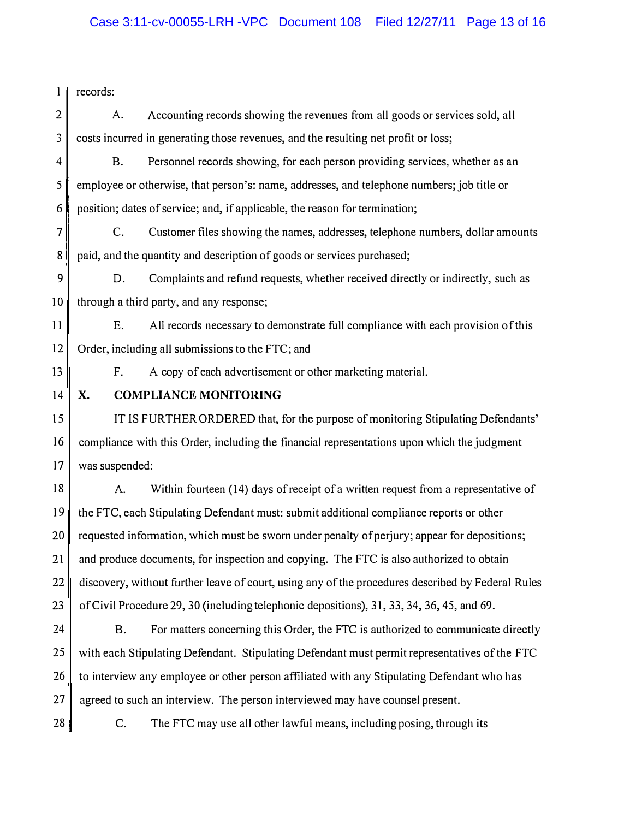| 1 <sup>1</sup>           | records:                                                                                          |  |  |
|--------------------------|---------------------------------------------------------------------------------------------------|--|--|
| 2                        | Accounting records showing the revenues from all goods or services sold, all<br>A.                |  |  |
| 3                        | costs incurred in generating those revenues, and the resulting net profit or loss;                |  |  |
| 4                        | <b>B.</b><br>Personnel records showing, for each person providing services, whether as an         |  |  |
| 5                        | employee or otherwise, that person's: name, addresses, and telephone numbers; job title or        |  |  |
| 6                        | position; dates of service; and, if applicable, the reason for termination;                       |  |  |
| $\overline{\mathcal{L}}$ | Customer files showing the names, addresses, telephone numbers, dollar amounts<br>C.              |  |  |
| 8                        | paid, and the quantity and description of goods or services purchased;                            |  |  |
| 9                        | Complaints and refund requests, whether received directly or indirectly, such as<br>D.            |  |  |
| 10                       | through a third party, and any response;                                                          |  |  |
| 11                       | All records necessary to demonstrate full compliance with each provision of this<br>Ε.            |  |  |
| 12                       | Order, including all submissions to the FTC; and                                                  |  |  |
| 13                       | A copy of each advertisement or other marketing material.<br>F.                                   |  |  |
| 14                       | <b>COMPLIANCE MONITORING</b><br>X.                                                                |  |  |
| 15                       | IT IS FURTHER ORDERED that, for the purpose of monitoring Stipulating Defendants'                 |  |  |
| 16                       | compliance with this Order, including the financial representations upon which the judgment       |  |  |
| 17                       | was suspended:                                                                                    |  |  |
| 18                       | Within fourteen (14) days of receipt of a written request from a representative of<br>A.          |  |  |
| 19                       | the FTC, each Stipulating Defendant must: submit additional compliance reports or other           |  |  |
| 20                       | requested information, which must be sworn under penalty of perjury; appear for depositions;      |  |  |
| 21                       | and produce documents, for inspection and copying. The FTC is also authorized to obtain           |  |  |
| 22                       | discovery, without further leave of court, using any of the procedures described by Federal Rules |  |  |
| 23                       | of Civil Procedure 29, 30 (including telephonic depositions), 31, 33, 34, 36, 45, and 69.         |  |  |
| 24                       | For matters concerning this Order, the FTC is authorized to communicate directly<br><b>B.</b>     |  |  |
| 25                       | with each Stipulating Defendant. Stipulating Defendant must permit representatives of the FTC     |  |  |
| 26                       | to interview any employee or other person affiliated with any Stipulating Defendant who has       |  |  |
| 27                       | agreed to such an interview. The person interviewed may have counsel present.                     |  |  |
| 28                       | The FTC may use all other lawful means, including posing, through its<br>C.                       |  |  |
|                          |                                                                                                   |  |  |
|                          |                                                                                                   |  |  |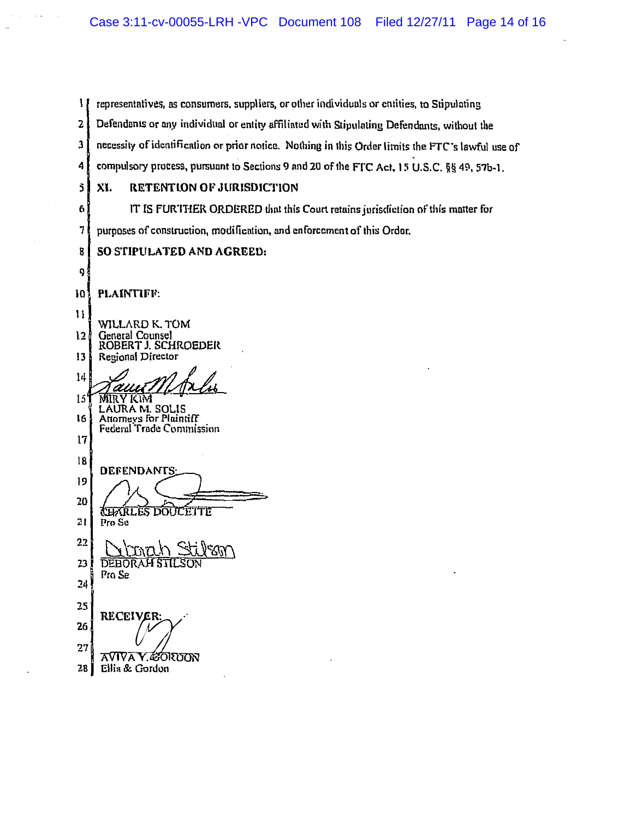$\mathbf{I}$ representatives, as consumers, suppliers, or other individuals or entities, to Stipulating  $2\ell$  Defendants or any individual or entity affiliated with Stipulating Defendants, without the  $3\hat{1}$  necessity of identification or prior notice. Nothing in this Order limits the FTC's lawful use of 4 compulsory process, pursuant to Sections 9 and 20 of the FTC Act, 15 U.S.C. §§ 49, 57b-1. 5 XI. RETENTION OF JURISDICTION <sup>6</sup>IT [5 fUR'IT1ER ORDERED Ihn! this Court retains jurisdiction of this mnner for  $7\frac{1}{2}$  purposes of construction, modification, and enforcement of this Ordor. 8 SO STIPULATED AND AGREED: 9 10 PLAINTIFF: 11 WILLARD K. TOM 12<sup>1</sup> General Counsel ROBERT J. SCHROEDER 13<sup>1</sup> Regional Director 14 IS MIRY KIM LAURA M. SOLIS 16 Anomeys for Plaintiff Federol' Trode Commission  $17$ 18 **DEFENDANTS** 19 20 **JEFARL** CETTE ĒŜ דזהר 21 Pro Su 22 23 **DEBORAH STIL** Pro Se 24 25 RECEIVER:<br>A VIVA Y. &ORDON 26 27 28 Ellis & Gordon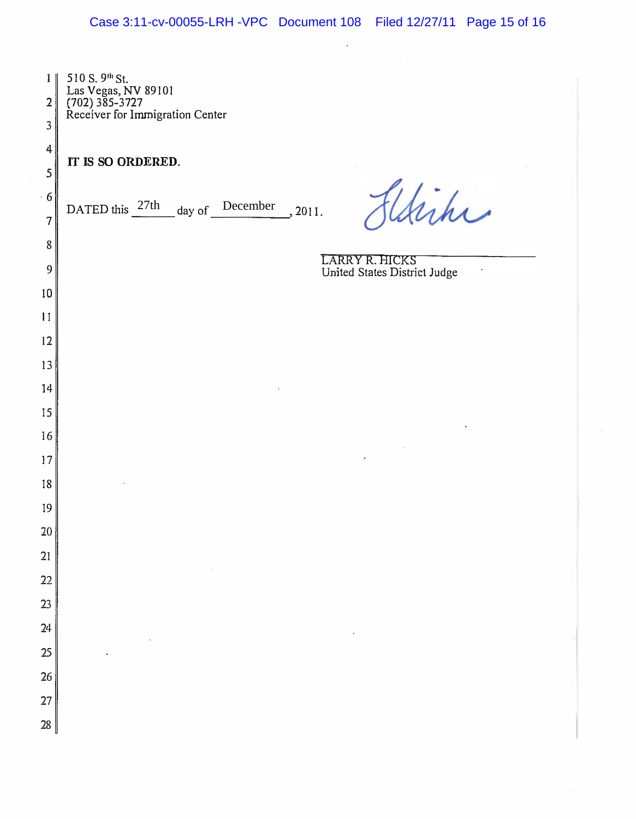| 1 <sup>1</sup><br>$\overline{2}$<br>3 | 510 S. 9 <sup>th</sup> St.<br>Las Vegas, NV 89101<br>(702) 385-3727<br>Receiver for Immigration Center |
|---------------------------------------|--------------------------------------------------------------------------------------------------------|
| 4<br>5                                | IT IS SO ORDERED.                                                                                      |
| $-6$<br>$\overline{7}$                | tiche<br>day of December<br>DATED this $27th$<br>, 2011.                                               |
| 8<br>9                                | LARRY R. HICKS<br>United States District Judge                                                         |
| 10                                    |                                                                                                        |
| $\mathbf{1}$                          |                                                                                                        |
| 12                                    |                                                                                                        |
| 13                                    |                                                                                                        |
| 14                                    |                                                                                                        |
| 15                                    |                                                                                                        |
| 16                                    |                                                                                                        |
| 17                                    |                                                                                                        |
| 18<br>19                              |                                                                                                        |
| 20                                    |                                                                                                        |
| 21                                    |                                                                                                        |
| 22                                    |                                                                                                        |
| 23                                    |                                                                                                        |
| 24                                    |                                                                                                        |
| 25                                    |                                                                                                        |
| 26                                    |                                                                                                        |
| 27                                    |                                                                                                        |
| 28                                    |                                                                                                        |